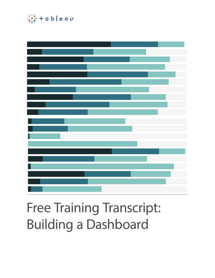

# Free Training Transcript: Building a Dashboard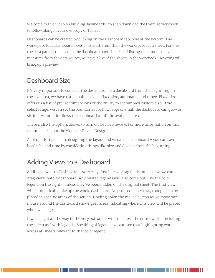Welcome to this video on building dashboards. You can download the Exercise workbook to follow along in your own copy of Tableau.

Dashboards can be created by clicking on the Dashboard tab, here at the bottom. The workspace for a dashboard looks a little different than the workspace for a sheet. For one, the data pane is replaced by the dashboard pane. Instead of listing the dimensions and measures from the data source, we have a list of the sheets in the workbook. Hovering will bring up a preview.

### Dashboard Size

It's very important to consider the destination of a dashboard from the beginning. In the size area, we have three main options: fixed size, automatic, and range. Fixed size offers us a list of pre-set dimensions or the ability to set our own custom size. If we select range, we can set the boundaries for how large or small the dashboard can grow or shrink. Automatic allows the dashboard to fill the available area.

There's also the option, above, to turn on Device Preview. For more information on this feature, check out the video on Device Designer.

A lot of effort goes into designing the layout and visual of a dashboard – you can save headache and time by considering things like size and devices from the beginning.

#### Adding Views to a Dashboard

Adding views to a Dashboard is very easy! Just like we drag fields into a view, we can drag views onto a dashboard! Any related legends will also come out, like the color legend on the right – unless they've been hidden on the original sheet. The first view will automatically take up the whole dashboard. Any subsequent views, though, can be placed in specific areas of the screen. Holding down the mouse button as we move our mouse around the dashboard shows grey areas indicating where this view will be placed when we let go.

If we bring it all the way to the very bottom, it will fill across the entire width, including the side panel with legends. Speaking of legends, we can see that highlighting works across all sheets relevant to that color legend.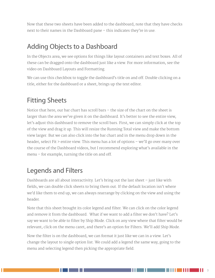Now that these two sheets have been added to the dashboard, note that they have checks next to their names in the Dashboard pane – this indicates they're in use.

### Adding Objects to a Dashboard

In the Objects area, we see options for things like layout containers and text boxes. All of these can be dragged onto the dashboard just like a view. For more information, see the video on Dashboard Layouts and Formatting.

We can use this checkbox to toggle the dashboard's title on and off. Double clicking on a title, either for the dashboard or a sheet, brings up the text editor.

#### Fitting Sheets

Notice that here, our bar chart has scroll bars – the size of the chart on the sheet is larger than the area we've given it on the dashboard. It's better to see the entire view, let's adjust this dashboard to remove the scroll bars. First, we can simply click at the top of the view and drag it up. This will resize the Running Total view and make the bottom view larger. But we can also click into the bar chart and in the menu drop down in the header, select Fit > entire view. This menu has a lot of options – we'll go over many over the course of the Dashboard videos, but I recommend exploring what's available in the menu – for example, turning the title on and off.

#### Legends and Filters

Dashboards are all about interactivity. Let's bring out the last sheet – just like with fields, we can double click sheets to bring them out. If the default location isn't where we'd like them to end up, we can always rearrange by clicking on the view and using the header.

Note that this sheet brought its color legend and filter. We can click on the color legend and remove it from the dashboard. What if we want to add a filter we don't have? Let's say we want to be able to filter by Ship Mode. Click on any view where that filter would be relevant, click on the menu caret, and there's an option for Filters. We'll add Ship Mode.

Now the filter is on the dashboard, we can format it just like we can in a view. Let's change the layout to single option list. We could add a legend the same way, going to the menu and selecting legend then picking the appropriate field.